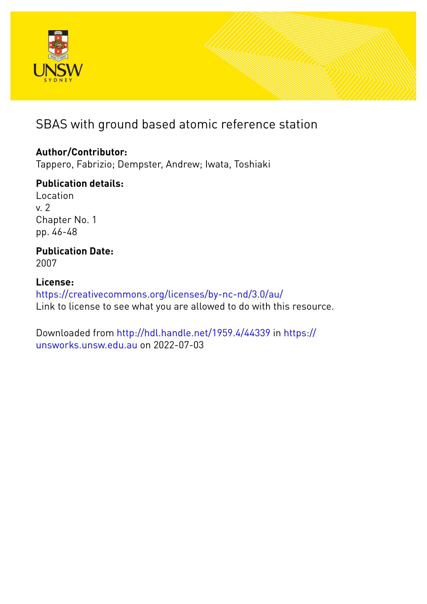

# SBAS with ground based atomic reference station

### **Author/Contributor:**

Tappero, Fabrizio; Dempster, Andrew; Iwata, Toshiaki

## **Publication details:**

Location v. 2 Chapter No. 1 pp. 46-48

#### **Publication Date:** 2007

## **License:**

<https://creativecommons.org/licenses/by-nc-nd/3.0/au/> Link to license to see what you are allowed to do with this resource.

Downloaded from <http://hdl.handle.net/1959.4/44339> in [https://](https://unsworks.unsw.edu.au) [unsworks.unsw.edu.au](https://unsworks.unsw.edu.au) on 2022-07-03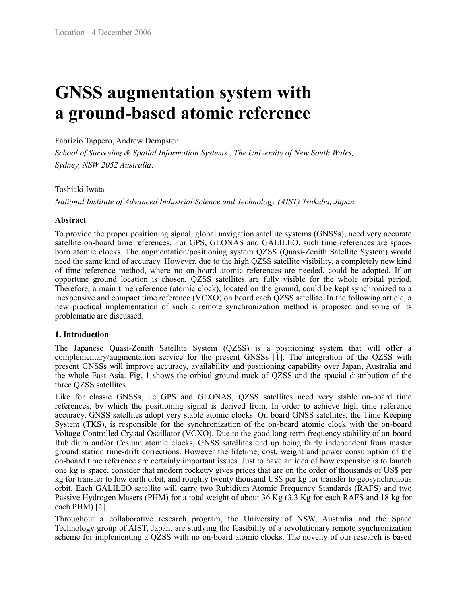# **GNSS augmentation system with a ground-based atomic reference**

#### Fabrizio Tappero, Andrew Dempster

*School of Surveying & Spatial Information Systems , The University of New South Wales, Sydney, NSW 2052 Australia*.

#### Toshiaki Iwata

*National Institute of Advanced Industrial Science and Technology (AIST) Tsukuba, Japan.*

#### **Abstract**

To provide the proper positioning signal, global navigation satellite systems (GNSSs), need very accurate satellite on-board time references. For GPS, GLONAS and GALILEO, such time references are spaceborn atomic clocks. The augmentation/positioning system QZSS (Quasi-Zenith Satellite System) would need the same kind of accuracy. However, due to the high QZSS satellite visibility, a completely new kind of time reference method, where no on-board atomic references are needed, could be adopted. If an opportune ground location is chosen, QZSS satellites are fully visible for the whole orbital period. Therefore, a main time reference (atomic clock), located on the ground, could be kept synchronized to a inexpensive and compact time reference (VCXO) on board each QZSS satellite. In the following article, a new practical implementation of such a remote synchronization method is proposed and some of its problematic are discussed.

#### **1. Introduction**

The Japanese Quasi-Zenith Satellite System (QZSS) is a positioning system that will offer a complementary/augmentation service for the present GNSSs [1]. The integration of the QZSS with present GNSSs will improve accuracy, availability and positioning capability over Japan, Australia and the whole East Asia. Fig. 1 shows the orbital ground track of QZSS and the spacial distribution of the three QZSS satellites.

Like for classic GNSSs, i.e GPS and GLONAS, QZSS satellites need very stable on-board time references, by which the positioning signal is derived from. In order to achieve high time reference accuracy, GNSS satellites adopt very stable atomic clocks. On board GNSS satellites, the Time Keeping System (TKS), is responsible for the synchronization of the on-board atomic clock with the on-board Voltage Controlled Crystal Oscillator (VCXO). Due to the good long-term frequency stability of on-board Rubidium and/or Cesium atomic clocks, GNSS satellites end up being fairly independent from master ground station time-drift corrections. However the lifetime, cost, weight and power consumption of the on-board time reference are certainly important issues. Just to have an idea of how expensive is to launch one kg is space, consider that modern rocketry gives prices that are on the order of thousands of US\$ per kg for transfer to low earth orbit, and roughly twenty thousand US\$ per kg for transfer to geosynchronous orbit. Each GALILEO satellite will carry two Rubidium Atomic Frequency Standards (RAFS) and two Passive Hydrogen Masers (PHM) for a total weight of about 36 Kg (3.3 Kg for each RAFS and 18 kg for each PHM) [2].

Throughout a collaborative research program, the University of NSW, Australia and the Space Technology group of AIST, Japan, are studying the feasibility of a revolutionary remote synchronization scheme for implementing a QZSS with no on-board atomic clocks. The novelty of our research is based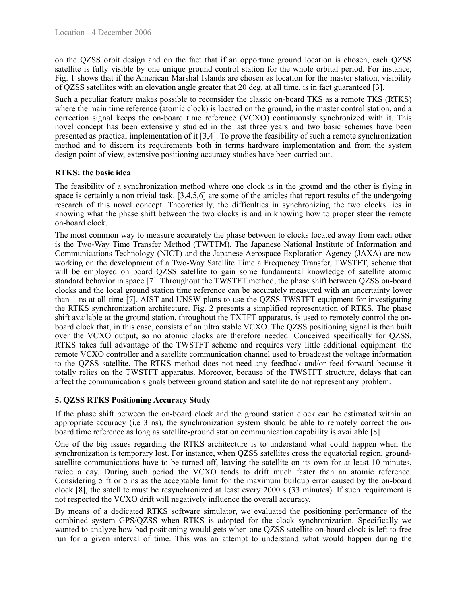on the QZSS orbit design and on the fact that if an opportune ground location is chosen, each QZSS satellite is fully visible by one unique ground control station for the whole orbital period. For instance, Fig. 1 shows that if the American Marshal Islands are chosen as location for the master station, visibility of QZSS satellites with an elevation angle greater that 20 deg, at all time, is in fact guaranteed [3].

Such a peculiar feature makes possible to reconsider the classic on-board TKS as a remote TKS (RTKS) where the main time reference (atomic clock) is located on the ground, in the master control station, and a correction signal keeps the on-board time reference (VCXO) continuously synchronized with it. This novel concept has been extensively studied in the last three years and two basic schemes have been presented as practical implementation of it [3,4]. To prove the feasibility of such a remote synchronization method and to discern its requirements both in terms hardware implementation and from the system design point of view, extensive positioning accuracy studies have been carried out.

#### **RTKS: the basic idea**

The feasibility of a synchronization method where one clock is in the ground and the other is flying in space is certainly a non trivial task. [3,4,5,6] are some of the articles that report results of the undergoing research of this novel concept. Theoretically, the difficulties in synchronizing the two clocks lies in knowing what the phase shift between the two clocks is and in knowing how to proper steer the remote on-board clock.

The most common way to measure accurately the phase between to clocks located away from each other is the Two-Way Time Transfer Method (TWTTM). The Japanese National Institute of Information and Communications Technology (NICT) and the Japanese Aerospace Exploration Agency (JAXA) are now working on the development of a Two-Way Satellite Time a Frequency Transfer, TWSTFT, scheme that will be employed on board QZSS satellite to gain some fundamental knowledge of satellite atomic standard behavior in space [7]. Throughout the TWSTFT method, the phase shift between QZSS on-board clocks and the local ground station time reference can be accurately measured with an uncertainty lower than 1 ns at all time [7]. AIST and UNSW plans to use the QZSS-TWSTFT equipment for investigating the RTKS synchronization architecture. Fig. 2 presents a simplified representation of RTKS. The phase shift available at the ground station, throughout the TXTFT apparatus, is used to remotely control the onboard clock that, in this case, consists of an ultra stable VCXO. The QZSS positioning signal is then built over the VCXO output, so no atomic clocks are therefore needed. Conceived specifically for QZSS, RTKS takes full advantage of the TWSTFT scheme and requires very little additional equipment: the remote VCXO controller and a satellite communication channel used to broadcast the voltage information to the QZSS satellite. The RTKS method does not need any feedback and/or feed forward because it totally relies on the TWSTFT apparatus. Moreover, because of the TWSTFT structure, delays that can affect the communication signals between ground station and satellite do not represent any problem.

#### **5. QZSS RTKS Positioning Accuracy Study**

If the phase shift between the on-board clock and the ground station clock can be estimated within an appropriate accuracy (i.e 3 ns), the synchronization system should be able to remotely correct the onboard time reference as long as satellite-ground station communication capability is available [8].

One of the big issues regarding the RTKS architecture is to understand what could happen when the synchronization is temporary lost. For instance, when QZSS satellites cross the equatorial region, groundsatellite communications have to be turned off, leaving the satellite on its own for at least 10 minutes, twice a day. During such period the VCXO tends to drift much faster than an atomic reference. Considering 5 ft or 5 ns as the acceptable limit for the maximum buildup error caused by the on-board clock [8], the satellite must be resynchronized at least every 2000 s (33 minutes). If such requirement is not respected the VCXO drift will negatively influence the overall accuracy.

By means of a dedicated RTKS software simulator, we evaluated the positioning performance of the combined system GPS/QZSS when RTKS is adopted for the clock synchronization. Specifically we wanted to analyze how bad positioning would gets when one QZSS satellite on-board clock is left to free run for a given interval of time. This was an attempt to understand what would happen during the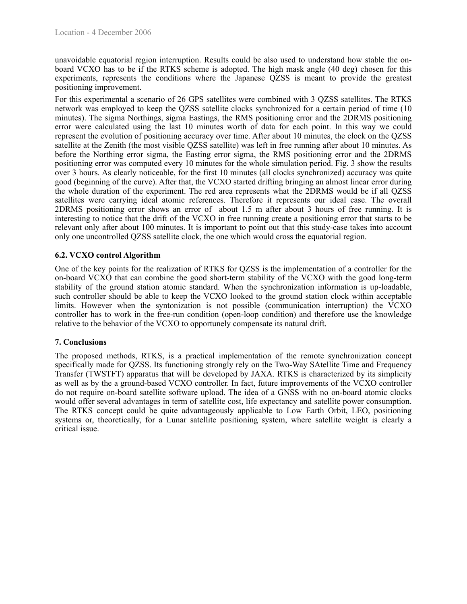unavoidable equatorial region interruption. Results could be also used to understand how stable the onboard VCXO has to be if the RTKS scheme is adopted. The high mask angle (40 deg) chosen for this experiments, represents the conditions where the Japanese QZSS is meant to provide the greatest positioning improvement.

For this experimental a scenario of 26 GPS satellites were combined with 3 QZSS satellites. The RTKS network was employed to keep the QZSS satellite clocks synchronized for a certain period of time (10 minutes). The sigma Northings, sigma Eastings, the RMS positioning error and the 2DRMS positioning error were calculated using the last 10 minutes worth of data for each point. In this way we could represent the evolution of positioning accuracy over time. After about 10 minutes, the clock on the QZSS satellite at the Zenith (the most visible QZSS satellite) was left in free running after about 10 minutes. As before the Northing error sigma, the Easting error sigma, the RMS positioning error and the 2DRMS positioning error was computed every 10 minutes for the whole simulation period. Fig. 3 show the results over 3 hours. As clearly noticeable, for the first 10 minutes (all clocks synchronized) accuracy was quite good (beginning of the curve). After that, the VCXO started drifting bringing an almost linear error during the whole duration of the experiment. The red area represents what the 2DRMS would be if all QZSS satellites were carrying ideal atomic references. Therefore it represents our ideal case. The overall 2DRMS positioning error shows an error of about 1.5 m after about 3 hours of free running. It is interesting to notice that the drift of the VCXO in free running create a positioning error that starts to be relevant only after about 100 minutes. It is important to point out that this study-case takes into account only one uncontrolled QZSS satellite clock, the one which would cross the equatorial region.

#### **6.2. VCXO control Algorithm**

One of the key points for the realization of RTKS for QZSS is the implementation of a controller for the on-board VCXO that can combine the good short-term stability of the VCXO with the good long-term stability of the ground station atomic standard. When the synchronization information is up-loadable, such controller should be able to keep the VCXO looked to the ground station clock within acceptable limits. However when the syntonization is not possible (communication interruption) the VCXO controller has to work in the free-run condition (open-loop condition) and therefore use the knowledge relative to the behavior of the VCXO to opportunely compensate its natural drift.

#### **7. Conclusions**

The proposed methods, RTKS, is a practical implementation of the remote synchronization concept specifically made for QZSS. Its functioning strongly rely on the Two-Way SAtellite Time and Frequency Transfer (TWSTFT) apparatus that will be developed by JAXA. RTKS is characterized by its simplicity as well as by the a ground-based VCXO controller. In fact, future improvements of the VCXO controller do not require on-board satellite software upload. The idea of a GNSS with no on-board atomic clocks would offer several advantages in term of satellite cost, life expectancy and satellite power consumption. The RTKS concept could be quite advantageously applicable to Low Earth Orbit, LEO, positioning systems or, theoretically, for a Lunar satellite positioning system, where satellite weight is clearly a critical issue.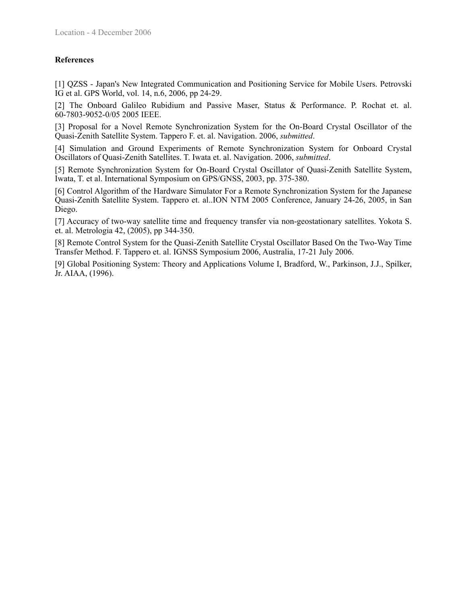#### **References**

[1] QZSS - Japan's New Integrated Communication and Positioning Service for Mobile Users. Petrovski IG et al. GPS World, vol. 14, n.6, 2006, pp 24-29.

[2] The Onboard Galileo Rubidium and Passive Maser, Status & Performance. P. Rochat et. al. 60-7803-9052-0/05 2005 IEEE.

[3] Proposal for a Novel Remote Synchronization System for the On-Board Crystal Oscillator of the Quasi-Zenith Satellite System. Tappero F. et. al. Navigation. 2006, *submitted*.

[4] Simulation and Ground Experiments of Remote Synchronization System for Onboard Crystal Oscillators of Quasi-Zenith Satellites. T. Iwata et. al. Navigation. 2006, *submitted*.

[5] Remote Synchronization System for On-Board Crystal Oscillator of Quasi-Zenith Satellite System, Iwata, T. et al. International Symposium on GPS/GNSS, 2003, pp. 375-380.

[6] Control Algorithm of the Hardware Simulator For a Remote Synchronization System for the Japanese Quasi-Zenith Satellite System. Tappero et. al..ION NTM 2005 Conference, January 24-26, 2005, in San Diego.

[7] Accuracy of two-way satellite time and frequency transfer via non-geostationary satellites. Yokota S. et. al. Metrologia 42, (2005), pp 344-350.

[8] Remote Control System for the Quasi-Zenith Satellite Crystal Oscillator Based On the Two-Way Time Transfer Method. F. Tappero et. al. IGNSS Symposium 2006, Australia, 17-21 July 2006.

[9] Global Positioning System: Theory and Applications Volume I, Bradford, W., Parkinson, J.J., Spilker, Jr. AIAA, (1996).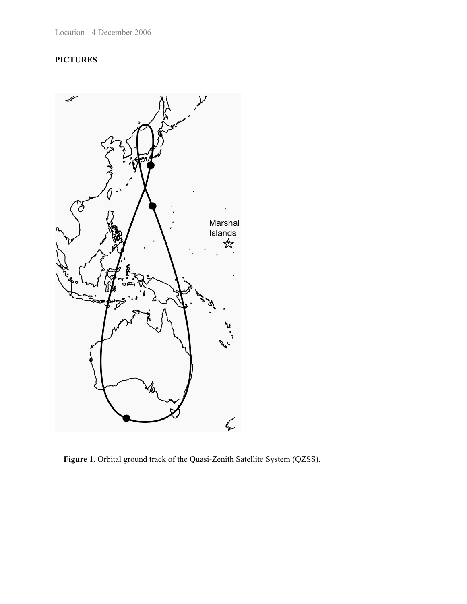## **PICTURES**



**Figure 1.** Orbital ground track of the Quasi-Zenith Satellite System (QZSS).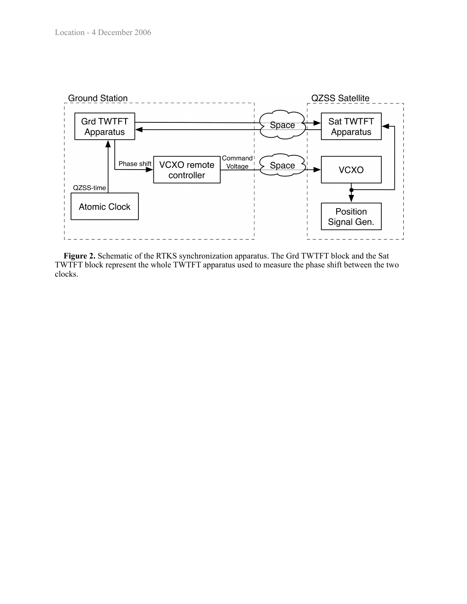

**Figure 2.** Schematic of the RTKS synchronization apparatus. The Grd TWTFT block and the Sat TWTFT block represent the whole TWTFT apparatus used to measure the phase shift between the two clocks.